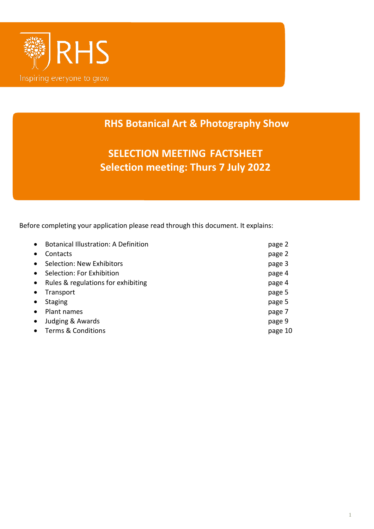

# **RHS Botanical Art & Photography Show**

**SELECTION MEETING FACTSHEET Selection meeting: Thurs 7 July 2022**

Before completing your application please read through this document. It explains:

| $\bullet$ | <b>Botanical Illustration: A Definition</b> | page 2  |
|-----------|---------------------------------------------|---------|
| $\bullet$ | Contacts                                    | page 2  |
| $\bullet$ | Selection: New Exhibitors                   | page 3  |
| $\bullet$ | Selection: For Exhibition                   | page 4  |
| $\bullet$ | Rules & regulations for exhibiting          | page 4  |
| $\bullet$ | Transport                                   | page 5  |
| $\bullet$ | <b>Staging</b>                              | page 5  |
| $\bullet$ | Plant names                                 | page 7  |
| $\bullet$ | Judging & Awards                            | page 9  |
|           | <b>Terms &amp; Conditions</b>               | page 10 |
|           |                                             |         |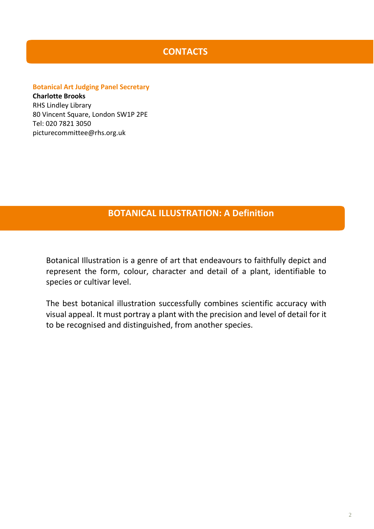# **CONTACTS**

## **Botanical Art Judging Panel Secretary**

**Charlotte Brooks** RHS Lindley Library 80 Vincent Square, London SW1P 2PE Tel: 020 7821 3050 picturecommittee@rhs.org.uk

# **BOTANICAL ILLUSTRATION: A Definition**

Botanical Illustration is a genre of art that endeavours to faithfully depict and represent the form, colour, character and detail of a plant, identifiable to species or cultivar level.

The best botanical illustration successfully combines scientific accuracy with visual appeal. It must portray a plant with the precision and level of detail for it to be recognised and distinguished, from another species.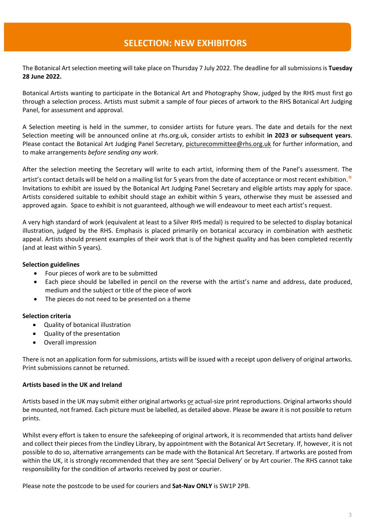# **SELECTION: NEW EXHIBITORS**

The Botanical Art selection meeting will take place on Thursday 7 July 2022. The deadline for all submissions is **Tuesday 28 June 2022.**

Botanical Artists wanting to participate in the Botanical Art and Photography Show, judged by the RHS must first go through a selection process. Artists must submit a sample of four pieces of artwork to the RHS Botanical Art Judging Panel, for assessment and approval.

A Selection meeting is held in the summer, to consider artists for future years. The date and details for the next Selection meeting will be announced online at rhs.org.uk, consider artists to exhibit **in 2023 or subsequent years**. Please contact the Botanical Art Judging Panel Secretary, [picturecommittee@rhs.org.uk](mailto:picturecommittee@rhs.org.uk) for further information, and to make arrangements *before sending any work*.

After the selection meeting the Secretary will write to each artist, informing them of the Panel's assessment. The artist's contact details will be held on a mailing list for 5 years from the date of acceptance or most recent exhibition.**\*** Invitations to exhibit are issued by the Botanical Art Judging Panel Secretary and eligible artists may apply for space. Artists considered suitable to exhibit should stage an exhibit within 5 years, otherwise they must be assessed and approved again. Space to exhibit is not guaranteed, although we will endeavour to meet each artist's request.

A very high standard of work (equivalent at least to a Silver RHS medal) is required to be selected to display botanical illustration, judged by the RHS. Emphasis is placed primarily on botanical accuracy in combination with aesthetic appeal. Artists should present examples of their work that is of the highest quality and has been completed recently (and at least within 5 years).

### **Selection guidelines**

- Four pieces of work are to be submitted
- Each piece should be labelled in pencil on the reverse with the artist's name and address, date produced, medium and the subject or title of the piece of work
- The pieces do not need to be presented on a theme

### **Selection criteria**

- Quality of botanical illustration
- Quality of the presentation
- Overall impression

There is not an application form for submissions, artists will be issued with a receipt upon delivery of original artworks. Print submissions cannot be returned.

### **Artists based in the UK and Ireland**

Artists based in the UK may submit either original artworks or actual-size print reproductions. Original artworks should be mounted, not framed. Each picture must be labelled, as detailed above. Please be aware it is not possible to return prints.

Whilst every effort is taken to ensure the safekeeping of original artwork, it is recommended that artists hand deliver and collect their pieces from the Lindley Library, by appointment with the Botanical Art Secretary. If, however, it is not possible to do so, alternative arrangements can be made with the Botanical Art Secretary. If artworks are posted from within the UK, it is strongly recommended that they are sent 'Special Delivery' or by Art courier. The RHS cannot take responsibility for the condition of artworks received by post or courier.

Please note the postcode to be used for couriers and **Sat-Nav ONLY** is SW1P 2PB.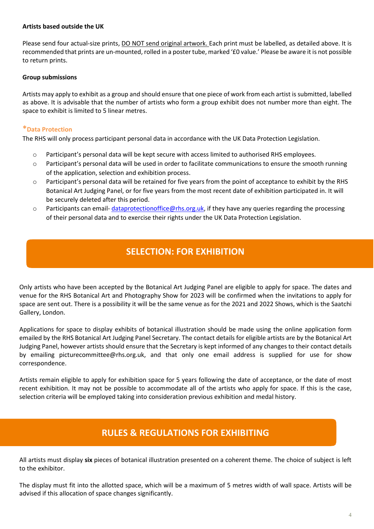### **Artists based outside the UK**

Please send four actual-size prints, **DO NOT send original artwork.** Each print must be labelled, as detailed above. It is recommended that prints are un-mounted, rolled in a poster tube, marked '£0 value.' Please be aware it is not possible to return prints.

### **Group submissions**

Artists may apply to exhibit as a group and should ensure that one piece of work from each artist is submitted, labelled as above. It is advisable that the number of artists who form a group exhibit does not number more than eight. The space to exhibit is limited to 5 linear metres.

### **\*Data Protection**

The RHS will only process participant personal data in accordance with the UK Data Protection Legislation.

- o Participant's personal data will be kept secure with access limited to authorised RHS employees.
- o Participant's personal data will be used in order to facilitate communications to ensure the smooth running of the application, selection and exhibition process.
- o Participant's personal data will be retained for five years from the point of acceptance to exhibit by the RHS Botanical Art Judging Panel, or for five years from the most recent date of exhibition participated in. It will be securely deleted after this period.
- $\circ$  Participants can email- [dataprotectionoffice@rhs.org.uk,](mailto:dataprotectionoffice@rhs.org.uk) if they have any queries regarding the processing of their personal data and to exercise their rights under the UK Data Protection Legislation.

# **SELECTION: FOR EXHIBITION**

Only artists who have been accepted by the Botanical Art Judging Panel are eligible to apply for space. The dates and venue for the RHS Botanical Art and Photography Show for 2023 will be confirmed when the invitations to apply for space are sent out. There is a possibility it will be the same venue as for the 2021 and 2022 Shows, which is the Saatchi Gallery, London.

Applications for space to display exhibits of botanical illustration should be made using the online application form emailed by the RHS Botanical Art Judging Panel Secretary. The contact details for eligible artists are by the Botanical Art Judging Panel, however artists should ensure that the Secretary is kept informed of any changes to their contact details by emailing picturecommittee@rhs.org.uk, and that only one email address is supplied for use for show correspondence.

Artists remain eligible to apply for exhibition space for 5 years following the date of acceptance, or the date of most recent exhibition. It may not be possible to accommodate all of the artists who apply for space. If this is the case, selection criteria will be employed taking into consideration previous exhibition and medal history.

# **RULES & REGULATIONS FOR EXHIBITING**

All artists must display **six** pieces of botanical illustration presented on a coherent theme. The choice of subject is left to the exhibitor.

The display must fit into the allotted space, which will be a maximum of 5 metres width of wall space. Artists will be advised if this allocation of space changes significantly.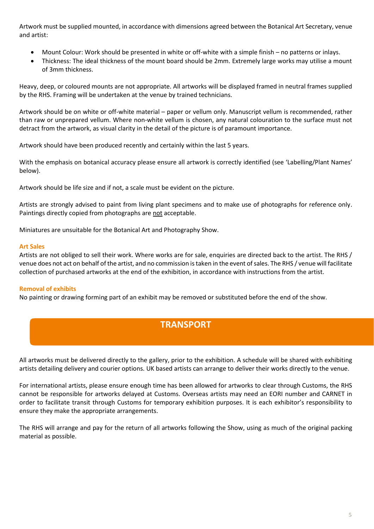Artwork must be supplied mounted, in accordance with dimensions agreed between the Botanical Art Secretary, venue and artist:

- Mount Colour: Work should be presented in white or off-white with a simple finish no patterns or inlays.
- Thickness: The ideal thickness of the mount board should be 2mm. Extremely large works may utilise a mount of 3mm thickness.

Heavy, deep, or coloured mounts are not appropriate. All artworks will be displayed framed in neutral frames supplied by the RHS. Framing will be undertaken at the venue by trained technicians.

Artwork should be on white or off-white material – paper or vellum only. Manuscript vellum is recommended, rather than raw or unprepared vellum. Where non-white vellum is chosen, any natural colouration to the surface must not detract from the artwork, as visual clarity in the detail of the picture is of paramount importance.

Artwork should have been produced recently and certainly within the last 5 years.

With the emphasis on botanical accuracy please ensure all artwork is correctly identified (see 'Labelling/Plant Names' below).

Artwork should be life size and if not, a scale must be evident on the picture.

Artists are strongly advised to paint from living plant specimens and to make use of photographs for reference only. Paintings directly copied from photographs are not acceptable.

Miniatures are unsuitable for the Botanical Art and Photography Show.

### **Art Sales**

Artists are not obliged to sell their work. Where works are for sale, enquiries are directed back to the artist. The RHS / venue does not act on behalf of the artist, and no commission is taken in the event of sales. The RHS / venue will facilitate collection of purchased artworks at the end of the exhibition, in accordance with instructions from the artist.

### **Removal of exhibits**

No painting or drawing forming part of an exhibit may be removed or substituted before the end of the show.

## **TRANSPORT**

All artworks must be delivered directly to the gallery, prior to the exhibition. A schedule will be shared with exhibiting artists detailing delivery and courier options. UK based artists can arrange to deliver their works directly to the venue.

For international artists, please ensure enough time has been allowed for artworks to clear through Customs, the RHS cannot be responsible for artworks delayed at Customs. Overseas artists may need an EORI number and CARNET in order to facilitate transit through Customs for temporary exhibition purposes. It is each exhibitor's responsibility to ensure they make the appropriate arrangements.

The RHS will arrange and pay for the return of all artworks following the Show, using as much of the original packing material as possible.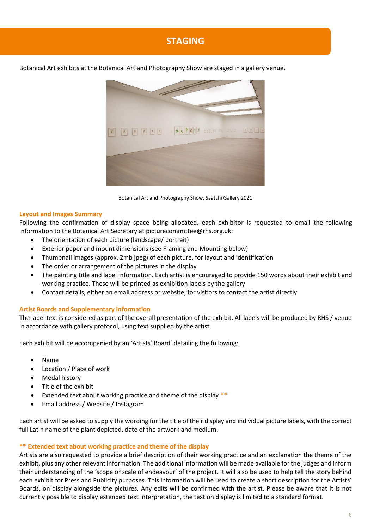# **STAGING**

Botanical Art exhibits at the Botanical Art and Photography Show are staged in a gallery venue.



Botanical Art and Photography Show, Saatchi Gallery 2021

### **Layout and Images Summary**

Following the confirmation of display space being allocated, each exhibitor is requested to email the following information to the Botanical Art Secretary at picturecommittee@rhs.org.uk:

- The orientation of each picture (landscape/ portrait)
- Exterior paper and mount dimensions (see Framing and Mounting below)
- Thumbnail images (approx. 2mb jpeg) of each picture, for layout and identification
- The order or arrangement of the pictures in the display
- The painting title and label information. Each artist is encouraged to provide 150 words about their exhibit and working practice. These will be printed as exhibition labels by the gallery
- Contact details, either an email address or website, for visitors to contact the artist directly

### **Artist Boards and Supplementary information**

The label text is considered as part of the overall presentation of the exhibit. All labels will be produced by RHS / venue in accordance with gallery protocol, using text supplied by the artist.

Each exhibit will be accompanied by an 'Artists' Board' detailing the following:

- Name
- Location / Place of work
- Medal history
- Title of the exhibit
- Extended text about working practice and theme of the display \*\*
- Email address / Website / Instagram

Each artist will be asked to supply the wording for the title of their display and individual picture labels, with the correct full Latin name of the plant depicted, date of the artwork and medium.

### **\*\* Extended text about working practice and theme of the display**

Artists are also requested to provide a brief description of their working practice and an explanation the theme of the exhibit, plus any other relevant information. The additional information will be made available for the judges and inform their understanding of the 'scope or scale of endeavour' of the project. It will also be used to help tell the story behind each exhibit for Press and Publicity purposes. This information will be used to create a short description for the Artists' Boards, on display alongside the pictures. Any edits will be confirmed with the artist. Please be aware that it is not currently possible to display extended text interpretation, the text on display is limited to a standard format.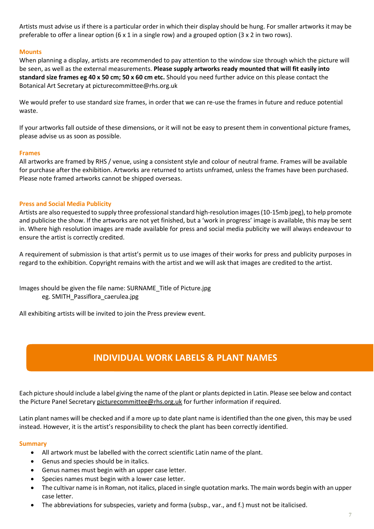Artists must advise us if there is a particular order in which their display should be hung. For smaller artworks it may be preferable to offer a linear option (6 x 1 in a single row) and a grouped option (3 x 2 in two rows).

### **Mounts**

When planning a display, artists are recommended to pay attention to the window size through which the picture will be seen, as well as the external measurements. **Please supply artworks ready mounted that will fit easily into standard size frames eg 40 x 50 cm; 50 x 60 cm etc.** Should you need further advice on this please contact the Botanical Art Secretary at picturecommittee@rhs.org.uk

We would prefer to use standard size frames, in order that we can re-use the frames in future and reduce potential waste.

If your artworks fall outside of these dimensions, or it will not be easy to present them in conventional picture frames, please advise us as soon as possible.

### **Frames**

All artworks are framed by RHS / venue, using a consistent style and colour of neutral frame. Frames will be available for purchase after the exhibition. Artworks are returned to artists unframed, unless the frames have been purchased. Please note framed artworks cannot be shipped overseas.

### **Press and Social Media Publicity**

Artists are also requested to supply three professional standard high-resolution images (10-15mb jpeg), to help promote and publicise the show. If the artworks are not yet finished, but a 'work in progress' image is available, this may be sent in. Where high resolution images are made available for press and social media publicity we will always endeavour to ensure the artist is correctly credited.

A requirement of submission is that artist's permit us to use images of their works for press and publicity purposes in regard to the exhibition. Copyright remains with the artist and we will ask that images are credited to the artist.

Images should be given the file name: SURNAME\_Title of Picture.jpg eg. SMITH\_Passiflora\_caerulea.jpg

All exhibiting artists will be invited to join the Press preview event.

# **INDIVIDUAL WORK LABELS & PLANT NAMES**

Each picture should include a label giving the name of the plant or plants depicted in Latin. Please see below and contact the Picture Panel Secretary [picturecommittee@rhs.org.uk](mailto:picturecommittee@rhs.org.uk) for further information if required.

Latin plant names will be checked and if a more up to date plant name is identified than the one given, this may be used instead. However, it is the artist's responsibility to check the plant has been correctly identified.

### **Summary**

- All artwork must be labelled with the correct scientific Latin name of the plant.
- Genus and species should be in italics.
- Genus names must begin with an upper case letter.
- Species names must begin with a lower case letter.
- The cultivar name is in Roman, not italics, placed in single quotation marks. The main words begin with an upper case letter.
- The abbreviations for subspecies, variety and forma (subsp., var., and f.) must not be italicised.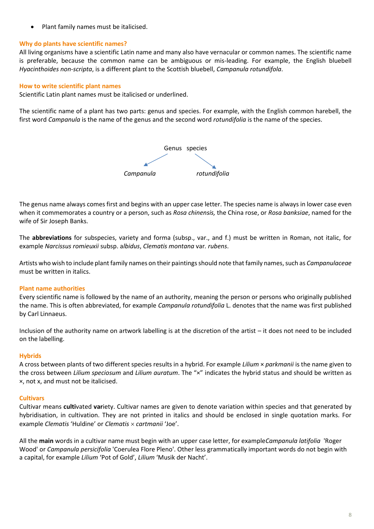Plant family names must be italicised.

## **Why do plants have scientific names?**

All living organisms have a scientific Latin name and many also have vernacular or common names. The scientific name is preferable, because the common name can be ambiguous or mis-leading. For example, the English bluebell *Hyacinthoides non-scripta*, is a different plant to the Scottish bluebell, *Campanula rotundifola*.

### **How to write scientific plant names**

Scientific Latin plant names must be italicised or underlined.

The scientific name of a plant has two parts: genus and species. For example, with the English common harebell, the first word *Campanula* is the name of the genus and the second word *rotundifolia* is the name of the species.



The genus name always comes first and begins with an upper case letter. The species name is always in lower case even when it commemorates a country or a person, such as *Rosa chinensis,* the China rose, or *Rosa banksiae*, named for the wife of Sir Joseph Banks.

The **abbreviations** for subspecies, variety and forma (subsp., var., and f.) must be written in Roman, not italic, for example *Narcissus romieuxii* subsp. a*lbidus*, *Clematis montana* var*. rubens*.

Artists who wish to include plant family names on their paintings should note that family names, such as *Campanulaceae* must be written in italics.

### **Plant name authorities**

Every scientific name is followed by the name of an authority, meaning the person or persons who originally published the name. This is often abbreviated, for example *Campanula rotundifolia* L. denotes that the name was first published by Carl Linnaeus.

Inclusion of the authority name on artwork labelling is at the discretion of the artist – it does not need to be included on the labelling.

### **Hybrids**

A cross between plants of two different species results in a hybrid. For example *Lilium* × *parkmanii* is the name given to the cross between *Lilium speciosum* and *Lilium auratum*. The "×" indicates the hybrid status and should be written as ×, not x, and must not be italicised.

### **Cultivars**

Cultivar means **culti**vated **var**iety. Cultivar names are given to denote variation within species and that generated by hybridisation, in cultivation. They are not printed in italics and should be enclosed in single quotation marks. For example *Clematis* 'Huldine' or *Clematis cartmanii* 'Joe'.

All the **main** words in a cultivar name must begin with an upper case letter, for example*Campanula latifolia* 'Roger Wood' or *Campanula persicifolia* 'Coerulea Flore Pleno'. Other less grammatically important words do not begin with a capital, for example *Lilium* 'Pot of Gold', *Lilium* 'Musik der Nacht'.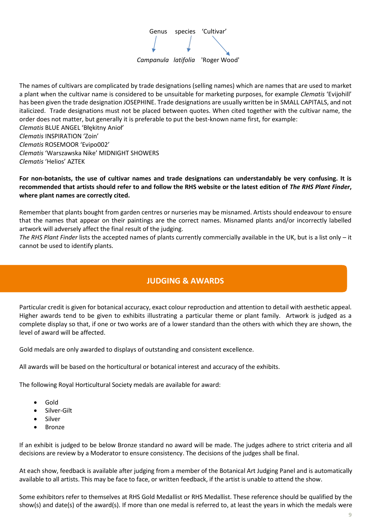

The names of cultivars are complicated by trade designations (selling names) which are names that are used to market a plant when the cultivar name is considered to be unsuitable for marketing purposes, for example *Clematis* 'Evijohill' has been given the trade designation JOSEPHINE. Trade designations are usually written be in SMALL CAPITALS, and not italicized. Trade designations must not be placed between quotes. When cited together with the cultivar name, the order does not matter, but generally it is preferable to put the best-known name first, for example: *Clematis* BLUE ANGEL 'Błękitny Anioł' *Clematis* INSPIRATION 'Zoin' *Clematis* ROSEMOOR 'Evipo002' *Clematis* 'Warszawska Nike' MIDNIGHT SHOWERS *Clematis* 'Helios' AZTEK

### **For non-botanists, the use of cultivar names and trade designations can understandably be very confusing. It is recommended that artists should refer to and follow the RHS website or the latest edition of** *The RHS Plant Finder***, where plant names are correctly cited.**

Remember that plants bought from garden centres or nurseries may be misnamed. Artists should endeavour to ensure that the names that appear on their paintings are the correct names. Misnamed plants and/or incorrectly labelled artwork will adversely affect the final result of the judging.

*The RHS Plant Finder* lists the accepted names of plants currently commercially available in the UK, but is a list only – it cannot be used to identify plants.

# **JUDGING & AWARDS**

Particular credit is given for botanical accuracy, exact colour reproduction and attention to detail with aesthetic appeal. Higher awards tend to be given to exhibits illustrating a particular theme or plant family. Artwork is judged as a complete display so that, if one or two works are of a lower standard than the others with which they are shown, the level of award will be affected.

Gold medals are only awarded to displays of outstanding and consistent excellence.

All awards will be based on the horticultural or botanical interest and accuracy of the exhibits.

The following Royal Horticultural Society medals are available for award:

- Gold
- Silver-Gilt
- Silver
- Bronze

If an exhibit is judged to be below Bronze standard no award will be made. The judges adhere to strict criteria and all decisions are review by a Moderator to ensure consistency. The decisions of the judges shall be final.

At each show, feedback is available after judging from a member of the Botanical Art Judging Panel and is automatically available to all artists. This may be face to face, or written feedback, if the artist is unable to attend the show.

Some exhibitors refer to themselves at RHS Gold Medallist or RHS Medallist. These reference should be qualified by the show(s) and date(s) of the award(s). If more than one medal is referred to, at least the years in which the medals were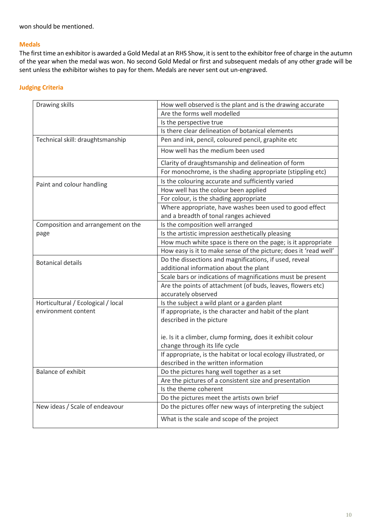won should be mentioned.

### **Medals**

The first time an exhibitor is awarded a Gold Medal at an RHS Show, it is sent to the exhibitor free of charge in the autumn of the year when the medal was won. No second Gold Medal or first and subsequent medals of any other grade will be sent unless the exhibitor wishes to pay for them. Medals are never sent out un-engraved.

## **Judging Criteria**

| Drawing skills                     | How well observed is the plant and is the drawing accurate       |  |
|------------------------------------|------------------------------------------------------------------|--|
|                                    | Are the forms well modelled                                      |  |
|                                    | Is the perspective true                                          |  |
|                                    | Is there clear delineation of botanical elements                 |  |
| Technical skill: draughtsmanship   | Pen and ink, pencil, coloured pencil, graphite etc               |  |
|                                    | How well has the medium been used                                |  |
|                                    | Clarity of draughtsmanship and delineation of form               |  |
|                                    | For monochrome, is the shading appropriate (stippling etc)       |  |
| Paint and colour handling          | Is the colouring accurate and sufficiently varied                |  |
|                                    | How well has the colour been applied                             |  |
|                                    | For colour, is the shading appropriate                           |  |
|                                    | Where appropriate, have washes been used to good effect          |  |
|                                    | and a breadth of tonal ranges achieved                           |  |
| Composition and arrangement on the | Is the composition well arranged                                 |  |
| page                               | Is the artistic impression aesthetically pleasing                |  |
|                                    | How much white space is there on the page; is it appropriate     |  |
|                                    | How easy is it to make sense of the picture; does it 'read well' |  |
| <b>Botanical details</b>           | Do the dissections and magnifications, if used, reveal           |  |
|                                    | additional information about the plant                           |  |
|                                    | Scale bars or indications of magnifications must be present      |  |
|                                    | Are the points of attachment (of buds, leaves, flowers etc)      |  |
|                                    | accurately observed                                              |  |
| Horticultural / Ecological / local | Is the subject a wild plant or a garden plant                    |  |
| environment content                | If appropriate, is the character and habit of the plant          |  |
|                                    | described in the picture                                         |  |
|                                    |                                                                  |  |
|                                    | ie. Is it a climber, clump forming, does it exhibit colour       |  |
|                                    | change through its life cycle                                    |  |
|                                    | If appropriate, is the habitat or local ecology illustrated, or  |  |
|                                    | described in the written information                             |  |
| <b>Balance of exhibit</b>          | Do the pictures hang well together as a set                      |  |
|                                    | Are the pictures of a consistent size and presentation           |  |
|                                    | Is the theme coherent                                            |  |
|                                    | Do the pictures meet the artists own brief                       |  |
| New ideas / Scale of endeavour     | Do the pictures offer new ways of interpreting the subject       |  |
|                                    | What is the scale and scope of the project                       |  |